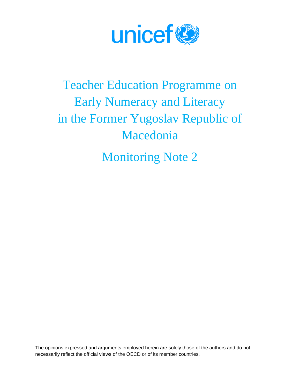

# Teacher Education Programme on Early Numeracy and Literacy in the Former Yugoslav Republic of Macedonia

Monitoring Note 2

The opinions expressed and arguments employed herein are solely those of the authors and do not necessarily reflect the official views of the OECD or of its member countries.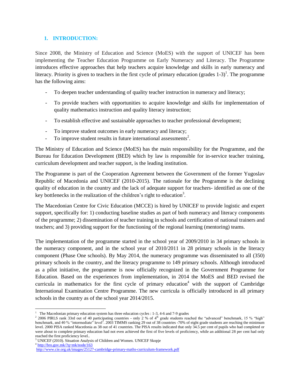#### **1. INTRODUCTION:**

Since 2008, the Ministry of Education and Science (MoES) with the support of UNICEF has been implementing the Teacher Education Programme on Early Numeracy and Literacy. The Programme introduces effective approaches that help teachers acquire knowledge and skills in early numeracy and literacy. Priority is given to teachers in the first cycle of primary education (grades  $1-3$ )<sup>1</sup>. The programme has the following aims:

- To deepen teacher understanding of quality teacher instruction in numeracy and literacy;
- To provide teachers with opportunities to acquire knowledge and skills for implementation of quality mathematics instruction and quality literacy instruction;
- To establish effective and sustainable approaches to teacher professional development;
- To improve student outcomes in early numeracy and literacy;
- To improve student results in future international assessments<sup>2</sup>.

The Ministry of Education and Science (MoES) has the main responsibility for the Programme, and the Bureau for Education Development (BED) which by law is responsible for in-service teacher training, curriculum development and teacher support, is the leading institution.

The Programme is part of the Cooperation Agreement between the Government of the former Yugoslav Republic of Macedonia and UNICEF (2010-2015). The rationale for the Programme is the declining quality of education in the country and the lack of adequate support for teachers- identified as one of the key bottlenecks in the realization of the children's right to education<sup>3</sup>.

The Macedonian Centre for Civic Education (MCCE) is hired by UNICEF to provide logistic and expert support, specifically for: 1) conducting baseline studies as part of both numeracy and literacy components of the programme; 2) dissemination of teacher training in schools and certification of national trainers and teachers; and 3) providing support for the functioning of the regional learning (mentoring) teams.

The implementation of the programme started in the school year of 2009/2010 in 34 primary schools in the numeracy component, and in the school year of 2010/2011 in 28 primary schools in the literacy component (Phase One schools). By May 2014, the numeracy programme was disseminated to all (350) primary schools in the country, and the literacy programme to 149 primary schools. Although introduced as a pilot initiative, the programme is now officially recognized in the Government Programme for Education. Based on the experiences from implementation, in 2014 the MoES and BED revised the curricula in mathematics for the first cycle of primary education<sup>4</sup> with the support of Cambridge International Examination Centre Programme. The new curricula is officially introduced in all primary schools in the country as of the school year 2014/2015.

4 <http://bro.gov.mk/?q=mk/node/163>

 $\overline{\phantom{a}}$ <sup>1</sup> The Macedonian primary education system has three education cycles : 1-3, 4-6 and 7-9 grades

 $^2$  2006 PIRLS rank 33rd out of 40 participating countries - only 2 % of 4<sup>th</sup> grade students reached the "advanced" benchmark, 15 % "high" benchmark, and 40 % "intermediate" level<sup>2</sup>. 2003 TIMMS ranking 29 out of 38 countries -70% of eight grade students are reaching the minimum level. 2000 PISA ranked Macedonia as 38 out of 41 countries. The PISA results indicated that only 34.5 per cent of pupils who had completed or were about to complete primary education had not even achieved the first of five levels of proficiency, while an additional 28 per cent had only reached the first proficiency level..

<sup>&</sup>lt;sup>3</sup> UNICEF (2010). Situation Analysis of Children and Women. UNICEF Skopje

<http://www.cie.org.uk/images/25127-cambridge-primary-maths-curriculum-framework.pdf>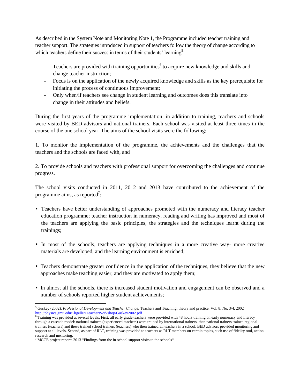As described in the System Note and Monitoring Note 1, the Programme included teacher training and teacher support. The strategies introduced in support of teachers follow the theory of change according to which teachers define their success in terms of their students' learning<sup>5</sup>:

- Teachers are provided with training opportunities<sup>6</sup> to acquire new knowledge and skills and change teacher instruction;
- Focus is on the application of the newly acquired knowledge and skills as the key prerequisite for initiating the process of continuous improvement;
- Only when/if teachers see change in student learning and outcomes does this translate into change in their attitudes and beliefs.

During the first years of the programme implementation, in addition to training, teachers and schools were visited by BED advisors and national trainers. Each school was visited at least three times in the course of the one school year. The aims of the school visits were the following:

1. To monitor the implementation of the programme, the achievements and the challenges that the teachers and the schools are faced with, and

2. To provide schools and teachers with professional support for overcoming the challenges and continue progress.

The school visits conducted in 2011, 2012 and 2013 have contributed to the achievement of the programme aims, as reported<sup>7</sup>:

- Teachers have better understanding of approaches promoted with the numeracy and literacy teacher education programme; teacher instruction in numeracy, reading and writing has improved and most of the teachers are applying the basic principles, the strategies and the techniques learnt during the trainings;
- In most of the schools, teachers are applying techniques in a more creative way- more creative materials are developed, and the learning environment is enriched;
- Teachers demonstrate greater confidence in the application of the techniques, they believe that the new approaches make teaching easier, and they are motivated to apply them;
- In almost all the schools, there is increased student motivation and engagement can be observed and a number of schools reported higher student achievements;

l <sup>5</sup> Guskey (2002). *Professional Development and Teacher Change*. Teachers and Teaching: theory and practice, Vol. 8, No. 3/4, 2002 <http://physics.gmu.edu/~hgeller/TeacherWorkshop/Guskey2002.pdf>

<sup>6</sup> Training was provided at several levels. First, all early grade teachers were provided with 48 hours training on early numeracy and literacy through a cascade model: national trainers (experienced teachers) were trained by international trainers, then national trainers trained regional trainers (teachers) and these trained school trainers (teachers) who then trained all teachers in a school. BED advisors provided monitoring and support at all levels. Second, as part of RLT, training was provided to teachers as RLT members on certain topics, such use of fidelity tool, action research and mentoring.

<sup>7</sup> MCCE project reports 2013 "Findings from the in-school support visits to the schools".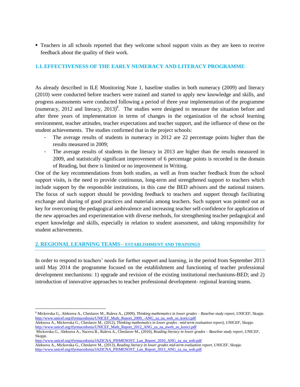Teachers in all schools reported that they welcome school support visits as they are keen to receive feedback about the quality of their work.

## **1.1.EFFECTIVENESS OF THE EARLY NUMERACY AND LITERACY PROGRAMME**

As already described in ILE Monitoring Note 1, baseline studies in both numeracy (2009) and literacy (2010) were conducted before teachers were trained and started to apply new knowledge and skills, and progress assessments were conducted following a period of three year implementation of the programme (numeracy,  $2012$  and literacy,  $2013$ )<sup>8</sup>. The studies were designed to measure the situation before and after three years of implementation in terms of changes in the organization of the school learning environment, teacher attitudes, teacher expectations and teacher support, and the influence of these on the student achievements. The studies confirmed that in the project schools:

- The average results of students in numeracy in 2012 are 22 percentage points higher than the results measured in 2009;
- The average results of students in the literacy in 2013 are higher than the results measured in 2009, and statistically significant improvement of 6 percentage points is recorded in the domain of Reading, but there is limited or no improvement in Writing.

One of the key recommendations from both studies, as well as from teacher feedback from the school support visits, is the need to provide continuous, long-term and strengthened support to teachers which include support by the responsible institutions, in this case the BED advisors and the national trainers. The focus of such support should be providing feedback to teachers and support through facilitating exchange and sharing of good practices and materials among teachers. Such support was pointed out as key for overcoming the pedagogical ambivalence and increasing teacher self-confidence for application of the new approaches and experimentation with diverse methods, for strengthening teacher pedagogical and expert knowledge and skills, especially in relation to student assessment, and taking responsibility for student achievements.

#### **2. REGIONAL LEARNING TEAMS – ESTABLISHMENT AND TRAININGS**

In order to respond to teachers' needs for further support and learning, in the period from September 2013 until May 2014 the programme focused on the establishment and functioning of teacher professional development mechanisms: 1) upgrade and revision of the existing institutional mechanisms-BED; and 2) introduction of innovative approaches to teacher professional development- regional learning teams.

 $\overline{\phantom{a}}$ <sup>8</sup> Mickovska G., Aleksova A., Cheslarov M., Raleva A., (2009), *Thinking mathematics in lower grades – Baseline study report, UNICEF*, Skopje. [http://www.unicef.org/tfyrmacedonia/UNICEF\\_Math\\_Report\\_2009\\_-ANG\\_za\\_na\\_web\\_so\\_korici.pdf](http://www.unicef.org/tfyrmacedonia/UNICEF_Math_Report_2009_-ANG_za_na_web_so_korici.pdf) 

Aleksova A., Mickovska G., Cheslarov M., (2012), *Thinking mathematics in lower grades –mid-term evaluation report), UNICEF*, Skopje. http://www.unicef.org/tfyrmacedonia/UNICEF\_Math\_Report\_2012\_ANG\_za\_na\_nweb\_so\_korici.pdf

Mickovska G., Aleksova A., Naceva B., Raleva A., Cheslarov M., (2010), *Reading literacy in lower grades – Baseline study report, UNICEF*, Skopje.

[http://www.unicef.org/tfyrmacedonia/JAZICNA\\_PISMENOST\\_Lan\\_Report\\_2010\\_ANG\\_za\\_na\\_web.pdf](http://www.unicef.org/tfyrmacedonia/JAZICNA_PISMENOST_Lan_Report_2010_ANG_za_na_web.pdf)

Aleksova A., Mickovska G., Cheslarov M., (2013), *Reading literacy in lower grades mid-term evaluation report, UNICEF*, Skopje. [http://www.unicef.org/tfyrmacedonia/JAZICNA\\_PISMENOST\\_Lan\\_Report\\_2013\\_ANG\\_za\\_na\\_web.pdf](http://www.unicef.org/tfyrmacedonia/JAZICNA_PISMENOST_Lan_Report_2013_ANG_za_na_web.pdf)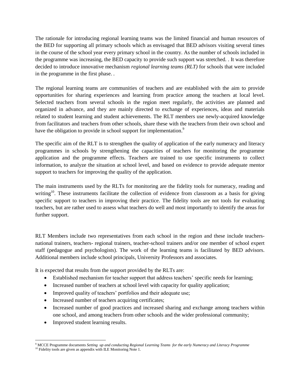The rationale for introducing regional learning teams was the limited financial and human resources of the BED for supporting all primary schools which as envisaged that BED advisors visiting several times in the course of the school year every primary school in the country. As the number of schools included in the programme was increasing, the BED capacity to provide such support was stretched. . It was therefore decided to introduce innovative mechanism *regional learning teams (RLT)* for schools that were included in the programme in the first phase. *.* 

The regional learning teams are communities of teachers and are established with the aim to provide opportunities for sharing experiences and learning from practice among the teachers at local level. Selected teachers from several schools in the region meet regularly, the activities are planned and organized in advance, and they are mainly directed to exchange of experiences, ideas and materials related to student learning and student achievements. The RLT members use newly-acquired knowledge from facilitators and teachers from other schools, share these with the teachers from their own school and have the obligation to provide in school support for implementation.<sup>9</sup>

The specific aim of the RLT is to strengthen the quality of application of the early numeracy and literacy programmes in schools by strengthening the capacities of teachers for monitoring the programme application and the programme effects. Teachers are trained to use specific instruments to collect information, to analyze the situation at school level, and based on evidence to provide adequate mentor support to teachers for improving the quality of the application.

The main instruments used by the RLTs for monitoring are the fidelity tools for numeracy, reading and writing<sup>10</sup>. These instruments facilitate the collection of evidence from classroom as a basis for giving specific support to teachers in improving their practice. The fidelity tools are not tools for evaluating teachers, but are rather used to assess what teachers do well and most importantly to identify the areas for further support.

RLT Members include two representatives from each school in the region and these include teachersnational trainers, teachers- regional trainers, teacher-school trainers and/or one member of school expert staff (pedagogue and psychologists). The work of the learning teams is facilitated by BED advisors. Additional members include school principals, University Professors and associates.

It is expected that results from the support provided by the RLTs are:

- Established mechanism for teacher support that address teachers' specific needs for learning;
- Increased number of teachers at school level with capacity for quality application;
- Improved quality of teachers' portfolios and their adequate use;
- Increased number of teachers acquiring certificates;
- Increased number of good practices and increased sharing and exchange among teachers within one school, and among teachers from other schools and the wider professional community;
- Improved student learning results.

l <sup>9</sup> MCCE Programme documents *Setting up and conducting Regional Learning Teams for the early Numeracy and Literacy Programme*  <sup>10</sup> Fidelity tools are given as appendix with ILE Monitoring Note 1.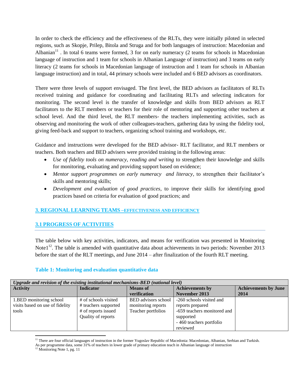In order to check the efficiency and the effectiveness of the RLTs, they were initially piloted in selected regions, such as Skopje, Prilep, Bitola and Struga and for both languages of instruction: Macedonian and Albanian<sup>11</sup>. In total 6 teams were formed, 3 for on early numeracy (2 teams for schools in Macedonian language of instruction and 1 team for schools in Albanian Language of instruction) and 3 teams on early literacy (2 teams for schools in Macedonian language of instruction and 1 team for schools in Albanian language instruction) and in total, 44 primary schools were included and 6 BED advisors as coordinators.

There were three levels of support envisaged. The first level, the BED advisors as facilitators of RLTs received training and guidance for coordinating and facilitating RLTs and selecting indicators for monitoring. The second level is the transfer of knowledge and skills from BED advisors as RLT facilitators to the RLT members or teachers for their role of mentoring and supporting other teachers at school level. And the third level, the RLT members- the teachers implementing activities, such as observing and monitoring the work of other colleagues-teachers, gathering data by using the fidelity tool, giving feed-back and support to teachers, organizing school training and workshops, etc.

Guidance and instructions were developed for the BED advisor- RLT facilitator, and RLT members or teachers. Both teachers and BED advisers were provided training in the following areas:

- *Use of fidelity tools on numeracy, reading and writing* to strengthen their knowledge and skills for monitoring, evaluating and providing support based on evidence;
- Mentor support programmes on early numeracy and literacy, to strengthen their facilitator's skills and mentoring skills;
- *Development and evaluation of good practices,* to improve their skills for identifying good practices based on criteria for evaluation of good practices; and

## **3. REGIONAL LEARNING TEAMS –EFFECTIVENESS AND EFFICIENCY**

## **3.1 PROGRESS OF ACTIVITIES**

The table below with key activities, indicators, and means for verification was presented in Monitoring Note $1<sup>12</sup>$ . The table is amended with quantitative data about achievements in two periods: November 2013 before the start of the RLT meetings, and June 2014 – after finalization of the fourth RLT meeting.

#### **Table 1: Monitoring and evaluation quantitative data**

| Upgrade and revision of the existing institutional mechanisms-BED (national level) |                                                                                           |                                                                 |                                                                                                                                  |                                     |
|------------------------------------------------------------------------------------|-------------------------------------------------------------------------------------------|-----------------------------------------------------------------|----------------------------------------------------------------------------------------------------------------------------------|-------------------------------------|
| <b>Activity</b>                                                                    | <b>Indicator</b>                                                                          | <b>Means</b> of<br>verification                                 | <b>Achievements by</b><br>November 2013                                                                                          | <b>Achievements by June</b><br>2014 |
| 1.BED monitoring school<br>visits based on use of fidelity<br>tools                | # of schools visited<br># teachers supported<br># of reports issued<br>Quality of reports | BED advisors school<br>monitoring reports<br>Teacher portfolios | -260 schools visited and<br>reports prepared<br>-659 teachers monitored and<br>supported<br>- 460 teachers portfolio<br>reviewed |                                     |

<sup>&</sup>lt;sup>11</sup> There are four official languages of instruction in the former Yugoslav Republic of Macedonia: Macedonian, Albanian, Serbian and Turkish.

As per programme data, some 31% of teachers in lower grade of primary education teach in Albanian language of instruction

 $\overline{\phantom{a}}$ 

<sup>&</sup>lt;sup>12</sup> Monitoring Note 1, pg. 11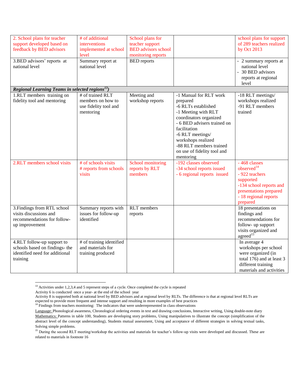| 2. School plans for teacher                                 | # of additional          | School plans for           |                             | school plans for support  |
|-------------------------------------------------------------|--------------------------|----------------------------|-----------------------------|---------------------------|
| support developed based on                                  | interventions            | teacher support            |                             | of 289 teachers realized  |
| feedback by BED advisors                                    |                          | <b>BED</b> advisors school |                             | by Oct 2013               |
|                                                             | implemented at school    |                            |                             |                           |
|                                                             | level                    | monitoring reports         |                             |                           |
| 3.BED advisors' reports at                                  | Summary report at        | <b>BED</b> reports         |                             | - 2 summary reports at    |
| national level                                              | national level           |                            |                             | national level            |
|                                                             |                          |                            |                             | - 30 BED advisors         |
|                                                             |                          |                            |                             | reports at regional       |
|                                                             |                          |                            |                             | level                     |
| Regional Learning Teams in selected regions <sup>13</sup> ) |                          |                            |                             |                           |
| 1.RLT members training on                                   | $#$ of trained RLT       | Meeting and                | -1 Manual for RLT work      | -18 RLT meetings/         |
| fidelity tool and mentoring                                 | members on how to        | workshop reports           | prepared                    | workshops realized        |
|                                                             | use fidelity tool and    |                            | -6 RLTs established         | -91 RLT members           |
|                                                             | mentoring                |                            | -1 Meeting with RLT         | trained                   |
|                                                             |                          |                            | coordinators organized      |                           |
|                                                             |                          |                            | - 6 BED advisers trained on |                           |
|                                                             |                          |                            | facilitation                |                           |
|                                                             |                          |                            | -6 RLT meetings/            |                           |
|                                                             |                          |                            | workshops realized          |                           |
|                                                             |                          |                            | -88 RLT members trained     |                           |
|                                                             |                          |                            | on use of fidelity tool and |                           |
|                                                             |                          |                            | mentoring                   |                           |
| 2.RLT members school visits                                 | # of schools visits      | School monitoring          | -192 classes observed       | -468 classes              |
|                                                             | # reports from schools   | reports by RLT             | -34 school reports issued   | observed <sup>14</sup>    |
|                                                             | visits                   | members                    | - 6 regional reports issued | - 922 teachers            |
|                                                             |                          |                            |                             | supported                 |
|                                                             |                          |                            |                             | -134 school reports and   |
|                                                             |                          |                            |                             | presentations prepared    |
|                                                             |                          |                            |                             | - 18 regional reports     |
|                                                             |                          |                            |                             |                           |
|                                                             |                          |                            |                             | prepared                  |
| 3. Findings from RTL school                                 | Summary reports with     | <b>RLT</b> members         |                             | 18 presentations on       |
| visits discussions and                                      | issues for follow-up     | reports                    |                             | findings and              |
| recommendations for follow-                                 | identified               |                            |                             | recommendations for       |
| up improvement                                              |                          |                            |                             | follow- up support        |
|                                                             |                          |                            |                             | visits organized and      |
|                                                             |                          |                            |                             | agreed <sup>15</sup>      |
| 4.RLT follow-up support to                                  | # of training identified |                            |                             | In average 4              |
| schools based on findings- the                              | and materials for        |                            |                             | workshops per school      |
| identified need for additional                              | training produced        |                            |                             | were organized (in        |
| training                                                    |                          |                            |                             | total 176) and at least 3 |
|                                                             |                          |                            |                             | different training        |
|                                                             |                          |                            |                             | materials and activities  |

 $13$  Activities under 1,2,3,4 and 5 represent steps of a cycle. Once completed the cycle is repeated

l

Activity 6 is conducted once a year- at the end of the school year

Activity 8 is supported both at national level by BED advisors and at regional level by RLTs. The difference is that at regional level RLTs are expected to provide more frequent and intense support and resulting in more examples of best practices

<sup>&</sup>lt;sup>14</sup> Findings from teachers monitoring: The indicators that were underrepresented in class observations

Language: Phonological awareness, Chronological ordering events in text and drawing conclusions, Interactive writing, Using double-note diary Mathematics: Patterns in table 100, Students are developing story problems, Using manipulatives to illustrate the concept (simplification of the abstract level of the concept understanding), Students mutual assessment, Using and acceptance of different strategies in solving textual tasks, Solving simple problems.

<sup>&</sup>lt;sup>15</sup> During the second RLT meeting/workshop the activities and materials for teacher's follow-up visits were developed and discussed. These are related to materials in footnote 16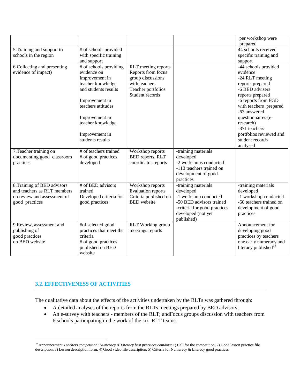|                                                            |                         |                                               |                                                    | per workshop were                |
|------------------------------------------------------------|-------------------------|-----------------------------------------------|----------------------------------------------------|----------------------------------|
|                                                            |                         |                                               |                                                    | prepared                         |
| 5. Training and support to                                 | # of schools provided   |                                               |                                                    | 44 schools received              |
| schools in the region                                      | with specific training  |                                               |                                                    | specific training and            |
|                                                            | and support             |                                               |                                                    | support                          |
| 6. Collecting and presenting                               | # of schools providing  | RLT meeting reports                           |                                                    | -44 schools provided             |
| evidence of impact)                                        | evidence on             | Reports from focus                            |                                                    | evidence                         |
|                                                            | improvement in          | group discussions                             |                                                    | -24 RLT meeting                  |
|                                                            | teacher knowledge       | with teachers                                 |                                                    | reports prepared                 |
|                                                            | and students results    | Teacher portfolios                            |                                                    | -6 BED advisers                  |
|                                                            |                         | Student records                               |                                                    | reports prepared                 |
|                                                            | Improvement in          |                                               |                                                    | -6 reports from FGD              |
|                                                            | teachers attitudes      |                                               |                                                    | with teachers prepared           |
|                                                            |                         |                                               |                                                    | -63 answered                     |
|                                                            | Improvement in          |                                               |                                                    | questionnaires (e-               |
|                                                            | teacher knowledge       |                                               |                                                    | research)                        |
|                                                            |                         |                                               |                                                    | -371 teachers                    |
|                                                            | Improvement in          |                                               |                                                    | portfolios reviewed and          |
|                                                            | students results        |                                               |                                                    | student records                  |
|                                                            |                         |                                               |                                                    | analysed                         |
| 7. Teacher training on                                     | # of teachers trained   | Workshop reports                              | -training materials                                |                                  |
| documenting good classroom                                 | # of good practices     | BED reports, RLT                              | developed                                          |                                  |
| practices                                                  | developed               | coordinator reports                           | -2 workshops conducted<br>-110 teachers trained on |                                  |
|                                                            |                         |                                               | development of good                                |                                  |
|                                                            |                         |                                               | practices                                          |                                  |
|                                                            | # of BED advisors       |                                               | -training materials                                |                                  |
| 8. Training of BED advisors<br>and teachers as RLT members | trained                 | Workshop reports<br><b>Evaluation reports</b> | developed                                          | -training materials<br>developed |
| on review and assessment of                                | Developed criteria for  | Criteria published on                         | -1 workshop conducted                              | -1 workshop conducted            |
| good practices                                             | good practices          | <b>BED</b> website                            | -50 BED advisors trained                           | -60 teachers trained on          |
|                                                            |                         |                                               | -criteria for good practices                       | development of good              |
|                                                            |                         |                                               | developed (not yet                                 | practices                        |
|                                                            |                         |                                               | published)                                         |                                  |
| 9. Review, assessment and                                  | #of selected good       | RLT Working group                             |                                                    | Announcement for                 |
| publishing of                                              | practices that meet the | meetings reports                              |                                                    | developing good                  |
| good practices                                             | criteria                |                                               |                                                    | practices by teachers            |
| on BED website                                             | # of good practices     |                                               |                                                    | one early numeracy and           |
|                                                            | published on BED        |                                               |                                                    | literacy published <sup>16</sup> |
|                                                            | website                 |                                               |                                                    |                                  |

## **3.2. EFFECTIVENESS OF ACTIVITIES**

 $\overline{\phantom{a}}$ 

The qualitative data about the effects of the activities undertaken by the RLTs was gathered through:

- A detailed analyses of the reports from the RLTs meetings prepared by BED advisors;
- An e-survey with teachers members of the RLT; andFocus groups discussion with teachers from 6 schools participating in the work of the six RLT teams.

<sup>&</sup>lt;sup>16</sup> Announcement *Teachers competition: Numeracy & Literacy best practices contains:* 1) Call for the competition, 2) Good lesson practice file description, 3) Lesson description form, 4) Good video file description, 5) Criteria for Numeracy & Literacy good practices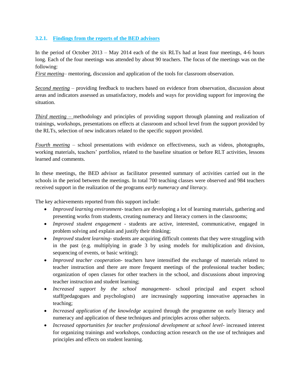#### **3.2.1. Findings from the reports of the BED advisors**

In the period of October 2013 – May 2014 each of the six RLTs had at least four meetings, 4-6 hours long. Each of the four meetings was attended by about 90 teachers. The focus of the meetings was on the following:

*First meeting*– mentoring, discussion and application of the tools for classroom observation.

*Second meeting* – providing feedback to teachers based on evidence from observation, discussion about areas and indicators assessed as unsatisfactory, models and ways for providing support for improving the situation.

*Third meeting –* methodology and principles of providing support through planning and realization of trainings, workshops, presentations on effects at classroom and school level from the support provided by the RLTs, selection of new indicators related to the specific support provided.

*Fourth meeting* – school presentations with evidence on effectiveness, such as videos, photographs, working materials, teachers' portfolios, related to the baseline situation or before RLT activities, lessons learned and comments.

In these meetings, the BED advisor as facilitator presented summary of activities carried out in the schools in the period between the meetings. In total 700 teaching classes were observed and 984 teachers received support in the realization of the programs e*arly numeracy and literacy.* 

The key achievements reported from this support include:

- *Improved learning environment* teachers are developing a lot of learning materials, gathering and presenting works from students, creating numeracy and literacy corners in the classrooms;
- *Improved student engagement* students are active, interested, communicative, engaged in problem solving and explain and justify their thinking;
- *Improved student learning* students are acquiring difficult contents that they were struggling with in the past (e.g. multiplying in grade 3 by using models for multiplication and division, sequencing of events, or basic writing);
- *Improved teacher cooperation* teachers have intensified the exchange of materials related to teacher instruction and there are more frequent meetings of the professional teacher bodies; organization of open classes for other teachers in the school, and discussions about improving teacher instruction and student learning;
- *Increased support by the school management* school principal and expert school staff(pedagogues and psychologists) are increasingly supporting innovative approaches in teaching;
- *Increased application of the knowledge* acquired through the programme on early literacy and numeracy and application of these techniques and principles across other subjects.
- *Increased opportunities for teacher professional development at school level* increased interest for organizing trainings and workshops, conducting action research on the use of techniques and principles and effects on student learning.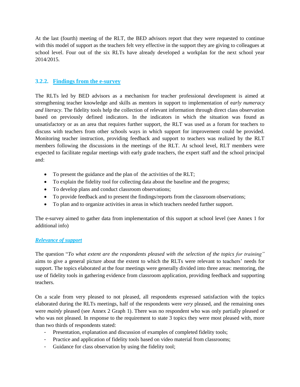At the last (fourth) meeting of the RLT, the BED advisors report that they were requested to continue with this model of support as the teachers felt very effective in the support they are giving to colleagues at school level. Four out of the six RLTs have already developed a workplan for the next school year 2014/2015.

## **3.2.2. Findings from the e-survey**

The RLTs led by BED advisors as a mechanism for teacher professional development is aimed at strengthening teacher knowledge and skills as mentors in support to implementation of e*arly numeracy and literacy.* The fidelity tools help the collection of relevant information through direct class observation based on previously defined indicators. In the indicators in which the situation was found as unsatisfactory or as an area that requires further support, the RLT was used as a forum for teachers to discuss with teachers from other schools ways in which support for improvement could be provided. Monitoring teacher instruction, providing feedback and support to teachers was realized by the RLT members following the discussions in the meetings of the RLT. At school level, RLT members were expected to facilitate regular meetings with early grade teachers, the expert staff and the school principal and:

- To present the guidance and the plan of the activities of the RLT;
- To explain the fidelity tool for collecting data about the baseline and the progress;
- To develop plans and conduct classroom observations;
- To provide feedback and to present the findings/reports from the classroom observations;
- To plan and to organize activities in areas in which teachers needed further support.

The e-survey aimed to gather data from implementation of this support at school level (see Annex 1 for additional info)

## *Relevance of support*

The question "*To what extent are the respondents pleased with the selection of the topics for training"* aims to give a general picture about the extent to which the RLTs were relevant to teachers' needs for support. The topics elaborated at the four meetings were generally divided into three areas: mentoring, the use of fidelity tools in gathering evidence from classroom application, providing feedback and supporting teachers.

On a scale from very pleased to not pleased, all respondents expressed satisfaction with the topics elaborated during the RLTs meetings, half of the respondents were *very* pleased, and the remaining ones were *mainly* pleased (see Annex 2 Graph 1). There was no respondent who was only partially pleased or who was not pleased. In response to the requirement to state 3 topics they were most pleased with, more than two thirds of respondents stated:

- Presentation, explanation and discussion of examples of completed fidelity tools;
- Practice and application of fidelity tools based on video material from classrooms;
- Guidance for class observation by using the fidelity tool;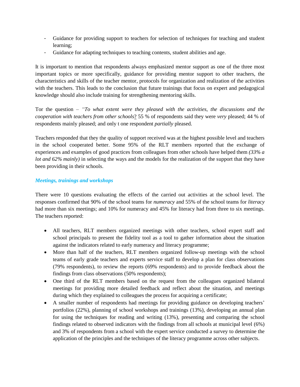- Guidance for providing support to teachers for selection of techniques for teaching and student learning;
- Guidance for adapting techniques to teaching contents, student abilities and age.

It is important to mention that respondents always emphasized mentor support as one of the three most important topics or more specifically, guidance for providing mentor support to other teachers, the characteristics and skills of the teacher mentor, protocols for organization and realization of the activities with the teachers. This leads to the conclusion that future trainings that focus on expert and pedagogical knowledge should also include training for strengthening mentoring skills.

Tor the question – *"To what extent were they pleased with the activities, the discussions and the cooperation with teachers from other schools*? 55 % of respondents said they were *very* pleased; 44 % of respondents mainly pleased; and only t one respondent *partially* pleased.

Teachers responded that they the quality of support received was at the highest possible level and teachers in the school cooperated better. Some 95% of the RLT members reported that the exchange of experiences and examples of good practices from colleagues from other schools have helped them *(33% a lot and 62% mainly)* in selecting the ways and the models for the realization of the support that they have been providing in their schools.

## *Meetings, trainings and workshops*

There were 10 questions evaluating the effects of the carried out activities at the school level. The responses confirmed that 90% of the school teams for *numeracy* and 55% of the school teams for *literacy* had more than six meetings; and 10% for numeracy and 45% for literacy had from three to six meetings. The teachers reported:

- All teachers, RLT members organized meetings with other teachers, school expert staff and school principals to present the fidelity tool as a tool to gather information about the situation against the indicators related to early numeracy and literacy programme;
- More than half of the teachers, RLT members organized follow-up meetings with the school teams of early grade teachers and experts service staff to develop a plan for class observations (79% respondents), to review the reports (69% respondents) and to provide feedback about the findings from class observations (50% respondents);
- One third of the RLT members based on the request from the colleagues organized bilateral meetings for providing more detailed feedback and reflect about the situation, and meetings during which they explained to colleagues the process for acquiring a certificate;
- A smaller number of respondents had meetings for providing guidance on developing teachers' portfolios (22%), planning of school workshops and trainings (13%), developing an annual plan for using the techniques for reading and writing (13%), presenting and comparing the school findings related to observed indicators with the findings from all schools at municipal level (6%) and 3% of respondents from a school with the expert service conducted a survey to determine the application of the principles and the techniques of the literacy programme across other subjects.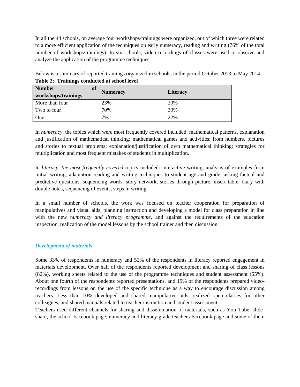In all the 44 schools, on average four workshops/trainings were organized, out of which three were related to a more efficient application of the techniques on early numeracy, reading and writing (76% of the total number of workshops/trainings). In six schools, video recordings of classes were used to observe and analyze the application of the programme techniques.

Below is a summary of reported trainings organized in schools, in the period October 2013 to May 2014: **Table 2: Trainings conducted at school level**

| <b>Number</b><br>of<br>workshops/trainings | <b>Numeracy</b> | <b>Literacy</b> |
|--------------------------------------------|-----------------|-----------------|
| More than four                             | 23%             | 39%             |
| Two to four                                | 70%             | 39%             |
| One                                        | 7%              | 22%             |

In *numeracy,* the topics which were most frequently covered included: mathematical patterns, explanation and justification of mathematical thinking; mathematical games and activities; from numbers, pictures and stories to textual problems; explanation/justification of own mathematical thinking; strategies for multiplication and most frequent mistakes of students in multiplication.

In *literacy, the most frequently covered* topics included: interactive writing, analysis of examples from initial writing, adaptation reading and writing techniques to student age and grade; asking factual and predictive questions, sequencing words, story network, stories through picture, insert table, diary with double notes, sequencing of events, steps in writing.

In a small number of schools, the work was focused on teacher cooperation for preparation of manipulatives and visual aids, planning instruction and developing a model for class preparation in line with the new n*umeracy and literacy programme*, and against the requirements of the education inspection, realization of the model lessons by the school trainer and then discussion.

## *Development of materials*

Some 33% of respondents in numeracy and 52% of the respondents in literacy reported engagement in materials development. Over half of the respondents reported development and sharing of class lessons (82%), working sheets related to the use of the programme techniques and student assessment (55%). About one fourth of the respondents reported presentations, and 19% of the respondents prepared videorecordings from lessons on the use of the specific technique as a way to encourage discussion among teachers. Less than 10% developed and shared manipulative aids, realized open classes for other colleagues, and shared manuals related to teacher instruction and student assessment.

Teachers used different channels for sharing and dissemination of materials, such as You Tube, slideshare, the school Facebook page, numeracy and literacy grade teachers Facebook page and some of them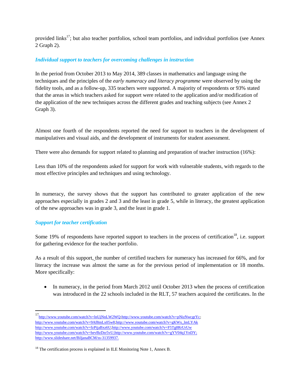provided links<sup>17</sup>; but also teacher portfolios, school team portfolios, and individual portfolios (see Annex 2 Graph 2).

## *Individual support to teachers for overcoming challenges in instruction*

In the period from October 2013 to May 2014, 389 classes in mathematics and language using the techniques and the principles of the *early numeracy and literacy programme* were observed by using the fidelity tools, and as a follow-up, 335 teachers were supported. A majority of respondents or 93% stated that the areas in which teachers asked for support were related to the application and/or modification of the application of the new techniques across the different grades and teaching subjects (see Annex 2 Graph 3).

Almost one fourth of the respondents reported the need for support to teachers in the development of manipulatives and visual aids, and the development of instruments for student assessment.

There were also demands for support related to planning and preparation of teacher instruction (16%):

Less than 10% of the respondents asked for support for work with vulnerable students, with regards to the most effective principles and techniques and using technology.

In numeracy, the survey shows that the support has contributed to greater application of the new approaches especially in grades 2 and 3 and the least in grade 5, while in literacy, the greatest application of the new approaches was in grade 3, and the least in grade 1.

## *Support for teacher certification*

 $\overline{a}$ 

Some 19% of respondents have reported support to teachers in the process of certification<sup>18</sup>, i.e. support for gathering evidence for the teacher portfolio.

As a result of this support, the number of certified teachers for numeracy has increased for 66%, and for literacy the increase was almost the same as for the previous period of implementation or 18 months. More specifically:

• In numeracy, in the period from March 2012 until October 2013 when the process of certification was introduced in the 22 schools included in the RLT, 57 teachers acquired the certificates. In the

<sup>17&</sup>lt;sub><http://www.youtube.com/watch?v=lnUjNnLW2WQ>;http://www.youtube.com/watch?v=pNizNwcgrYc;</sub> [http://www.youtube.com/watch?v=9Af8mLx05w8;](http://www.youtube.com/watch?v=9Af8mLx05w8)[http://www.youtube.com/watch?v=gKWx\\_lmLYAk](http://www.youtube.com/watch?v=gKWx_lmLYAk) [http://www.youtube.com/watch?v=fzPijaBxz6U;](http://www.youtube.com/watch?v=fzPijaBxz6U)<http://www.youtube.com/watch?v=F5Tg8RrUrUw> [http://www.youtube.com/watch?v=hevBzDzr5vU;](http://www.youtube.com/watch?v=hevBzDzr5vU)[http://www.youtube.com/watch?v=gYV04q1YnDY;](http://www.youtube.com/watch?v=gYV04q1YnDY) [http://www.slideshare.net/BiljanaBCM/ss-31359937.](http://www.slideshare.net/BiljanaBCM/ss-31359937)

<sup>&</sup>lt;sup>18</sup> The certification process is explained in ILE Monitoring Note 1, Annex B.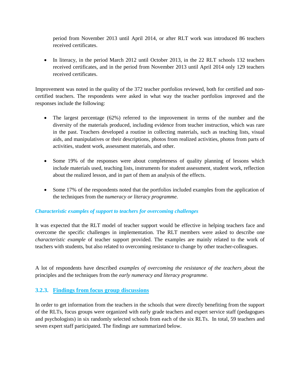period from November 2013 until April 2014, or after RLT work was introduced 86 teachers received certificates.

• In literacy, in the period March 2012 until October 2013, in the 22 RLT schools 132 teachers received certificates, and in the period from November 2013 until April 2014 only 129 teachers received certificates.

Improvement was noted in the quality of the 372 teacher portfolios reviewed, both for certified and noncertified teachers. The respondents were asked in what way the teacher portfolios improved and the responses include the following:

- The largest percentage  $(62%)$  referred to the improvement in terms of the number and the diversity of the materials produced, including evidence from teacher instruction, which was rare in the past. Teachers developed a routine in collecting materials, such as teaching lists, visual aids, and manipulatives or their descriptions, photos from realized activities, photos from parts of activities, student work, assessment materials, and other.
- Some 19% of the responses were about completeness of quality planning of lessons which include materials used, teaching lists, instruments for student assessment, student work, reflection about the realized lesson, and in part of them an analysis of the effects.
- Some 17% of the respondents noted that the portfolios included examples from the application of the techniques from the n*umeracy or literacy programme.*

## *Characteristic examples of support to teachers for overcoming challenges*

It was expected that the RLT model of teacher support would be effective in helping teachers face and overcome the specific challenges in implementation. The RLT members were asked to describe one *characteristic example* of teacher support provided. The examples are mainly related to the work of teachers with students, but also related to overcoming resistance to change by other teacher-colleagues.

A lot of respondents have described *examples of overcoming the resistance of the teachers* about the principles and the techniques from the *early numeracy and literacy programme.* 

## **3.2.3. Findings from focus group discussions**

In order to get information from the teachers in the schools that were directly benefiting from the support of the RLTs, focus groups were organized with early grade teachers and expert service staff (pedagogues and psychologists) in six randomly selected schools from each of the six RLTs. In total, 59 teachers and seven expert staff participated. The findings are summarized below.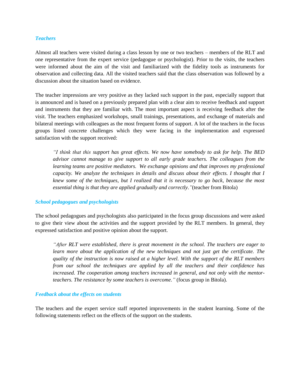#### *Teachers*

Almost all teachers were visited during a class lesson by one or two teachers – members of the RLT and one representative from the expert service (pedagogue or psychologist). Prior to the visits, the teachers were informed about the aim of the visit and familiarized with the fidelity tools as instruments for observation and collecting data. All the visited teachers said that the class observation was followed by a discussion about the situation based on evidence.

The teacher impressions are very positive as they lacked such support in the past, especially support that is announced and is based on a previously prepared plan with a clear aim to receive feedback and support and instruments that they are familiar with. The most important aspect is receiving feedback after the visit. The teachers emphasized workshops, small trainings, presentations, and exchange of materials and bilateral meetings with colleagues as the most frequent forms of support. A lot of the teachers in the focus groups listed concrete challenges which they were facing in the implementation and expressed satisfaction with the support received:

*"I think that this support has great effects. We now have somebody to ask for help. The BED advisor cannot manage to give support to all early grade teachers. The colleagues from the learning teams are positive mediators. We exchange opinions and that improves my professional capacity. We analyze the techniques in details and discuss about their effects. I thought that I knew some of the techniques, but I realized that it is necessary to go back, because the most essential thing is that they are applied gradually and correctly."*(teacher from Bitola)

#### *School pedagogues and psychologists*

The school pedagogues and psychologists also participated in the focus group discussions and were asked to give their view about the activities and the support provided by the RLT members. In general, they expressed satisfaction and positive opinion about the support.

*"After RLT were established, there is great movement in the school. The teachers are eager to learn more about the application of the new techniques and not just get the certificate. The quality of the instruction is now raised at a higher level. With the support of the RLT members from our school the techniques are applied by all the teachers and their confidence has increased. The cooperation among teachers increased in general, and not only with the mentorteachers. The resistance by some teachers is overcome."* (focus group in Bitola).

#### *Feedback about the effects on students*

The teachers and the expert service staff reported improvements in the student learning. Some of the following statements reflect on the effects of the support on the students.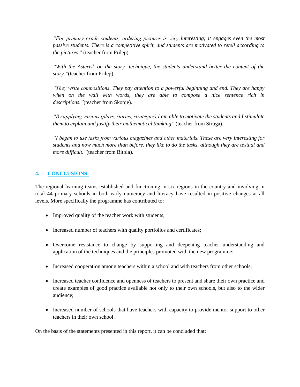*"For primary grade students, ordering pictures is very interesting; it engages even the most passive students. There is a competitive spirit, and students are motivated to retell according to the pictures.*" (teacher from Prilep).

*"With the Asterisk on the story- technique, the students understand better the content of the story."*(teacher from Prilep).

*"They write compositions. They pay attention to a powerful beginning and end. They are happy when on the wall with words, they are able to compose a nice sentence rich in descriptions."*(teacher from Skopje).

*"By applying various (plays, stories, strategies) I am able to motivate the students and I stimulate them to explain and justify their mathematical thinking"* (teacher from Struga).

*"I began to use tasks from various magazines and other materials. These are very interesting for students and now much more than before, they like to do the tasks, although they are textual and more difficult."*(teacher from Bitola).

## **4. CONCLUSIONS:**

The regional learning teams established and functioning in six regions in the country and involving in total 44 primary schools in both early numeracy and literacy have resulted in positive changes at all levels. More specifically the programme has contributed to:

- Improved quality of the teacher work with students;
- Increased number of teachers with quality portfolios and certificates;
- Overcome resistance to change by supporting and deepening teacher understanding and application of the techniques and the principles promoted with the new programme;
- Increased cooperation among teachers within a school and with teachers from other schools;
- Increased teacher confidence and openness of teachers to present and share their own practice and create examples of good practice available not only to their own schools, but also to the wider audience;
- Increased number of schools that have teachers with capacity to provide mentor support to other teachers in their own school.

On the basis of the statements presented in this report, it can be concluded that: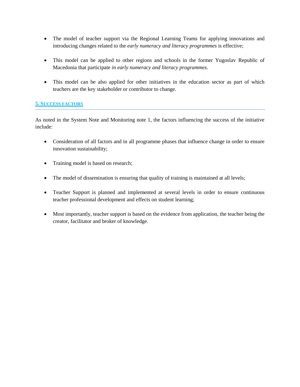- The model of teacher support via the Regional Learning Teams for applying innovations and introducing changes related to the *early numeracy and literacy programmes* is effective;
- This model can be applied to other regions and schools in the former Yugoslav Republic of Macedonia that participate *in early numeracy and literacy programmes*.
- This model can be also applied for other initiatives in the education sector as part of which teachers are the key stakeholder or contributor to change.

## **5. SUCCESS FACTORS**

As noted in the System Note and Monitoring note 1, the factors influencing the success of the initiative include:

- Consideration of all factors and in all programme phases that influence change in order to ensure innovation sustainability;
- Training model is based on research;
- The model of dissemination is ensuring that quality of training is maintained at all levels;
- Teacher Support is planned and implemented at several levels in order to ensure continuous teacher professional development and effects on student learning;
- Most importantly, teacher support is based on the evidence from application, the teacher being the creator, facilitator and broker of knowledge.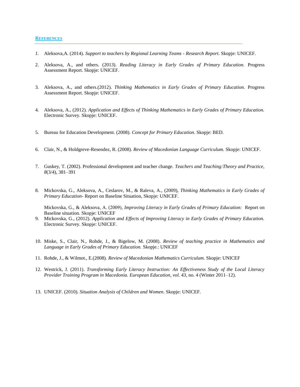#### **REFERENCES**

- *1.* Aleksova,A. (2014). *Support to teachers by Regional Learning Teams - Research Report*. Skopje: UNICEF.
- 2. Aleksova, A., and others. (2013). *Reading Literacy in Early Grades of Primary Education.* Progress Assessment Report. Skopje: UNICEF.
- 3. Aleksova, A., and others.(2012). *Thinking Mathematics in Early Grades of Primary Education.* Progress Assessment Report. Skopje: UNICEF.
- 4. Aleksova, A., (2012). *Application and Effects of Thinking Mathematics in Early Grades of Primary Education.*  Electronic Survey*.* Skopje: UNICEF.
- 5. Bureau for Education Development. (2008). *Concept for Primary Education*. Skopje: BED.
- 6. Clair, N., & Holdgreve-Resendez, R. (2008). *Review of Macedonian Language Curriculum.* Skopje: UNICEF.
- 7. Guskey, T. (2002). Professional development and teacher change. *Teachers and Teaching:Theory and Practice, 8*(3/4), 381–391
- 8. Mickovska, G., Aleksova, A., Ceslarov, M., & Raleva, A., (2009), *Thinking Mathematics in Early Grades of Primary Education-* Report on Baseline Situation, Skopje: UNICEF.

Mickovska, G., & Aleksova, А. (2009), *Improving Literacy in Early Grades of Primary Education:* Report on Baseline situation. Skopje: UNICEF

- 9. Mickovska, G., (2012). *Application and Effects of Improving Literacy in Early Grades of Primary Education.*  Electronic Survey*.* Skopje: UNICEF.
- 10. Miske, S., Clair, N., Rohde, J., & Bigelow, M. (2008). *Review of teaching practice in Mathematics and Language in Early Grades of Primary Education.* Skopje.: UNICEF
- 11. Rohde, J., & Wilmot., E.(2008). *Review of Macedonian Mathematics Curriculum.* Skopje: UNICEF
- 12. Westrick, J. (2011). *Transforming Early Literacy Instruction: An Effectiveness Study of the Local Literacy Provider Training Program in Macedonia. European Education*, *vol. 43,* no. 4 (Winter 2011–12).
- 13. UNICEF. (2010). *Situation Analysis of Children and Women*. Skopje: UNICEF.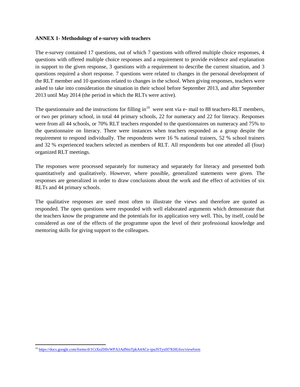#### **ANNEX 1- Methodology of e-survey with teachers**

The e-survey contained 17 questions, out of which 7 questions with offered multiple choice responses, 4 questions with offered multiple choice responses and a requirement to provide evidence and explanation in support to the given response, 3 questions with a requirement to describe the current situation, and 3 questions required a short response. 7 questions were related to changes in the personal development of the RLT member and 10 questions related to changes in the school. When giving responses, teachers were asked to take into consideration the situation in their school before September 2013, and after September 2013 until May 2014 (the period in which the RLTs were active).

The questionnaire and the instructions for filling in $19$  were sent via e- mail to 88 teachers-RLT members, or two per primary school, in total 44 primary schools, 22 for numeracy and 22 for literacy. Responses were from all 44 schools, or 70% RLT teachers responded to the questionnaires on numeracy and 75% to the questionnaire on literacy. There were instances when teachers responded as a group despite the requirement to respond individually. The respondents were 16 % national trainers, 52 % school trainers and 32 % experienced teachers selected as members of RLT. All respondents but one attended all (four) organized RLT meetings.

The responses were processed separately for numeracy and separately for literacy and presented both quantitatively and qualitatively. However, where possible, generalized statements were given. The responses are generalized in order to draw conclusions about the work and the effect of activities of six RLTs and 44 primary schools.

The qualitative responses are used most often to illustrate the views and therefore are quoted as responded. The open questions were responded with well elaborated arguments which demonstrate that the teachers know the programme and the potentials for its application very well. This, by itself, could be considered as one of the effects of the programme upon the level of their professional knowledge and mentoring skills for giving support to the colleagues.

 $\overline{\phantom{a}}$ <sup>19</sup> <https://docs.google.com/forms/d/1CtXnZHIvWPA3AdNtnTpkA4ACe-ipuJSTyx0I7KHL6vs/viewform>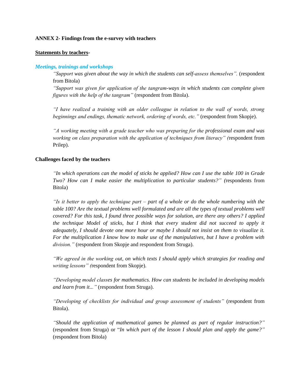#### **ANNEX 2- Findings from the e-survey with teachers**

#### **Statements by teachers-**

#### *Meetings, trainings and workshops*

*"Support was given about the way in which the students can self-assess themselves".* (respondent from Bitola)

*"Support was given for application of the tangram-ways in which students can complete given figures with the help of the tangram"* (respondent from Bitola).

*"I have realized a training with an older colleague in relation to the wall of words, strong beginnings and endings, thematic network, ordering of words, etc."* (respondent from Skopje).

*"A working meeting with a grade teacher who was preparing for the professional exam and was working on class preparation with the application of techniques from literacy" (*respondent from Prilep).

#### **Challenges faced by the teachers**

*"In which operations can the model of sticks be applied? How can I use the table 100 in Grade Two? How can I make easier the multiplication to particular students?" (*respondents from Bitola)

*"Is it better to apply the technique part – part of a whole or do the whole numbering with the table 100? Are the textual problems well formulated and are all the types of textual problems well covered? For this task, I found three possible ways for solution, are there any others? I applied the technique Model of sticks, but I think that every student did not succeed to apply it adequately, I should devote one more hour or maybe I should not insist on them to visualize it. For the multiplication I know how to make use of the manipulatives, but I have a problem with division."* (respondent from Skopje and respondent from Struga).

*"We agreed in the working out, on which texts I should apply which strategies for reading and writing lessons" (*respondent from Skopje).

*"Developing model classes for mathematics. How can students be included in developing models and learn from it..."* (respondent from Struga).

*"Developing of checklists for individual and group assessment of students"* (respondent from Bitola).

*"Should the application of mathematical games be planned as part of regular instruction?"* (respondent from Struga) or "*In which part of the lesson I should plan and apply the game?"* (respondent from Bitola)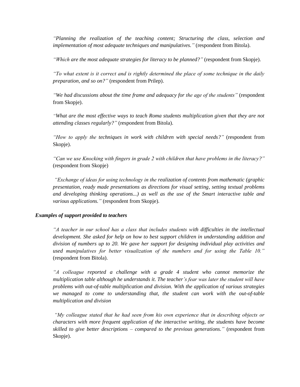*"Planning the realization of the teaching content; Structuring the class, selection and implementation of most adequate techniques and manipulatives."* (respondent from Bitola).

*"Which are the most adequate strategies for literacy to be planned?"* (respondent from Skopje).

*"To what extent is it correct and is rightly determined the place of some technique in the daily preparation, and so on?"* (respondent from Prilep).

*"We had discussions about the time frame and adequacy for the age of the students"* (respondent from Skopje).

*"What are the most effective ways to teach Roma students multiplication given that they are not attending classes regularly?"* (respondent from Bitola).

*"How to apply the techniques in work with children with special needs?"* (respondent from Skopje).

*"Can we use Knocking with fingers in grade 2 with children that have problems in the literacy?"* (respondent from Skopje)

*"Exchange of ideas for using technology in the realization of contents from mathematic (graphic presentation, ready made presentations as directions for visual setting, setting textual problems and developing thinking operations...) as well as the use of the Smart interactive table and various applications."* (respondent from Skopje).

#### *Examples of support provided to teachers*

*"A teacher in our school has a class that includes students with difficulties in the intellectual development. She asked for help on how to best support children in understanding addition and division of numbers up to 20. We gave her support for designing individual play activities and used manipulatives for better visualization of the numbers and for using the Table 10."*  (respondent from Bitola).

*"A colleague reported a challenge with a grade 4 student who cannot memorize the multiplication table although he understands it. The teacher's fear was later the student will have problems with out-of-table multiplication and division. With the application of various strategies we managed to come to understanding that, the student can work with the out-of-table multiplication and division* 

*"My colleague stated that he had seen from his own experience that in describing objects or characters with more frequent application of the interactive writing, the students have become skilled to give better descriptions – compared to the previous generations."* (respondent from Skopje).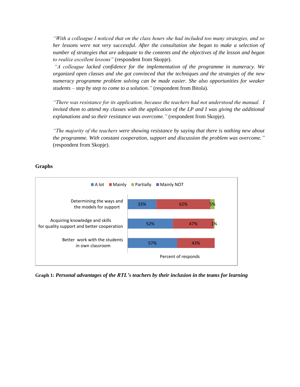*"With a colleague I noticed that on the class hours she had included too many strategies, and so her lessons were not very successful. After the consultation she began to make a selection of number of strategies that are adequate to the contents and the objectives of the lesson and began to realize excellent lessons"* (respondent from Skopje).

*"A colleague lacked confidence for the implementation of the programme in numeracy. We organized open classes and she got convinced that the techniques and the strategies of the new numeracy programme problem solving can be made easier. She also opportunities for weaker students – step by step to come to a solution."* (respondent from Bitola).

*"There was resistance for its application, because the teachers had not understood the manual. I invited them to attend my classes with the application of the LP and I was giving the additional explanations and so their resistance was overcome."* (respondent from Skopje).

*"The majority of the teachers were showing resistance by saying that there is nothing new about the programme. With constant cooperation, support and discussion the problem was overcome."* (respondent from Skopje).

#### **Graphs**



**Graph 1:** *Personal advantages of the RTL's teachers by their inclusion in the teams for learning*